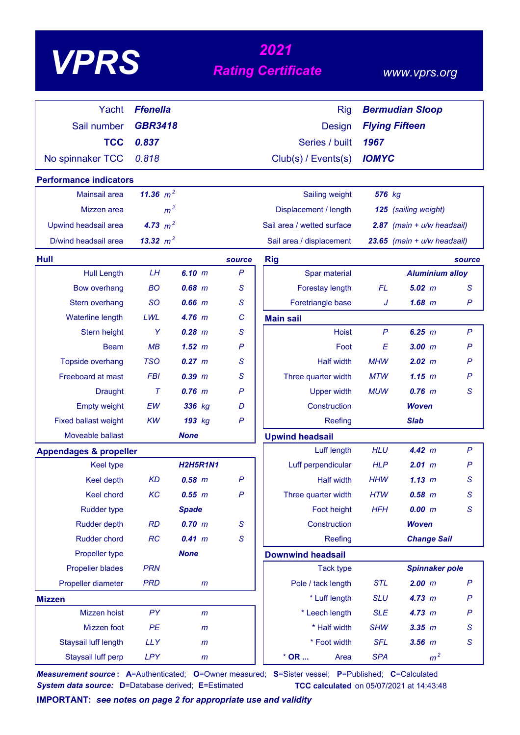| VPP |
|-----|
|-----|

# *<sup>2021</sup> VPRS Rating Certificate*

### *www.vprs.org*

| Yacht                             | <b>Ffenella</b> |                 |              | <b>Rig</b>                 |              | <b>Bermudian Sloop</b>          |                |
|-----------------------------------|-----------------|-----------------|--------------|----------------------------|--------------|---------------------------------|----------------|
|                                   |                 |                 |              |                            |              |                                 |                |
| Sail number                       | <b>GBR3418</b>  |                 |              | Design                     |              | <b>Flying Fifteen</b>           |                |
| <b>TCC</b>                        | 0.837           |                 |              | Series / built             | 1967         |                                 |                |
| No spinnaker TCC                  | 0.818           |                 |              | Club(s) / Events(s)        | <b>IOMYC</b> |                                 |                |
| <b>Performance indicators</b>     |                 |                 |              |                            |              |                                 |                |
| Mainsail area                     | 11.36 $m^2$     |                 |              | Sailing weight             | 576 kg       |                                 |                |
| Mizzen area                       | m <sup>2</sup>  |                 |              | Displacement / length      |              | 125 (sailing weight)            |                |
| Upwind headsail area              | 4.73 $m^2$      |                 |              | Sail area / wetted surface |              | 2.87 $(main + u/w headsail)$    |                |
| D/wind headsail area              | 13.32 $m^2$     |                 |              | Sail area / displacement   |              | $23.65$ (main + $u/w$ headsail) |                |
| <b>Hull</b>                       |                 |                 | source       | <b>Rig</b>                 |              |                                 | source         |
| <b>Hull Length</b>                | LH              | 6.10 m          | $\mathsf{P}$ | Spar material              |              | <b>Aluminium alloy</b>          |                |
| <b>Bow overhang</b>               | <b>BO</b>       | $0.68$ $m$      | S            | Forestay length            | <b>FL</b>    | $5.02$ m                        | $\mathsf S$    |
| Stern overhang                    | <b>SO</b>       | $0.66$ $m$      | S            | Foretriangle base          | J            | 1.68~m                          | P              |
| Waterline length                  | LWL             | $4.76$ m        | C            | <b>Main sail</b>           |              |                                 |                |
| Stern height                      | Y               | $0.28$ $m$      | S            | <b>Hoist</b>               | $\mathsf{P}$ | 6.25 m                          | $\mathsf{P}$   |
| Beam                              | MB              | 1.52~m          | $\mathsf{P}$ | Foot                       | E            | 3.00 m                          | $\mathsf{P}$   |
| Topside overhang                  | <b>TSO</b>      | $0.27 \, m$     | S            | <b>Half width</b>          | <b>MHW</b>   | 2.02 m                          | P              |
| Freeboard at mast                 | <b>FBI</b>      | $0.39$ $m$      | S            | Three quarter width        | <b>MTW</b>   | 1.15~m                          | P              |
| <b>Draught</b>                    | $\tau$          | $0.76$ $m$      | P            | <b>Upper width</b>         | <b>MUW</b>   | $0.76$ m                        | S              |
| <b>Empty weight</b>               | <b>EW</b>       | 336 kg          | D            | Construction               |              | <b>Woven</b>                    |                |
| <b>Fixed ballast weight</b>       | <b>KW</b>       | 193 kg          | $\mathsf{P}$ | Reefing                    |              | <b>Slab</b>                     |                |
| Moveable ballast                  |                 | <b>None</b>     |              | <b>Upwind headsail</b>     |              |                                 |                |
| <b>Appendages &amp; propeller</b> |                 |                 |              | Luff length                | <b>HLU</b>   | 4.42 m                          | $\mathsf{P}$   |
| <b>Keel type</b>                  |                 | <b>H2H5R1N1</b> |              | Luff perpendicular         | <b>HLP</b>   | 2.01 m                          | P              |
| Keel depth                        | <b>KD</b>       | $0.58$ $m$      | $\mathsf{P}$ | <b>Half width</b>          | <b>HHW</b>   | 1.13~m                          | S              |
| Keel chord                        | KC              | 0.55 m          | $\mathsf{P}$ | Three quarter width        | <b>HTW</b>   | $0.58$ $m$                      | $\mathsf S$    |
| <b>Rudder type</b>                |                 | <b>Spade</b>    |              | Foot height                | <b>HFH</b>   | 0.00 m                          | S              |
| <b>Rudder depth</b>               | <b>RD</b>       | 0.70 m          | S            | Construction               |              | <b>Woven</b>                    |                |
| <b>Rudder chord</b>               | RC              | 0.41 m          | S            | Reefing                    |              | <b>Change Sail</b>              |                |
| Propeller type                    |                 | <b>None</b>     |              | <b>Downwind headsail</b>   |              |                                 |                |
| <b>Propeller blades</b>           | <b>PRN</b>      |                 |              | <b>Tack type</b>           |              | <b>Spinnaker pole</b>           |                |
| Propeller diameter                | <b>PRD</b>      | $\mathsf{m}$    |              | Pole / tack length         | <b>STL</b>   | 2.00 m                          | $\mathsf{P}$   |
| <b>Mizzen</b>                     |                 |                 |              | * Luff length              | <b>SLU</b>   | 4.73 m                          | $\mathsf{P}$   |
| Mizzen hoist                      | PY              | m               |              | * Leech length             | <b>SLE</b>   | 4.73 m                          | $\mathsf{P}$   |
| Mizzen foot                       | PE              | $\mathsf{m}$    |              | * Half width               | <b>SHW</b>   | $3.35$ $m$                      | $\mathsf S$    |
| Staysail luff length              | <b>LLY</b>      | $\mathsf{m}$    |              | * Foot width               | <b>SFL</b>   | $3.56$ $m$                      | ${\mathcal S}$ |
| Staysail luff perp                | LPY             | $\mathsf{m}$    |              | $*$ OR<br>Area             | <b>SPA</b>   | m <sup>2</sup>                  |                |

*Measurement source* **: A**=Authenticated; **O**=Owner measured; **S**=Sister vessel; **P**=Published; **C**=Calculated *System data source:* **D**=Database derived; **E**=Estimated **TCC calculated** on 05/07/2021 at 14:43:48

**IMPORTANT:** *see notes on page 2 for appropriate use and validity*